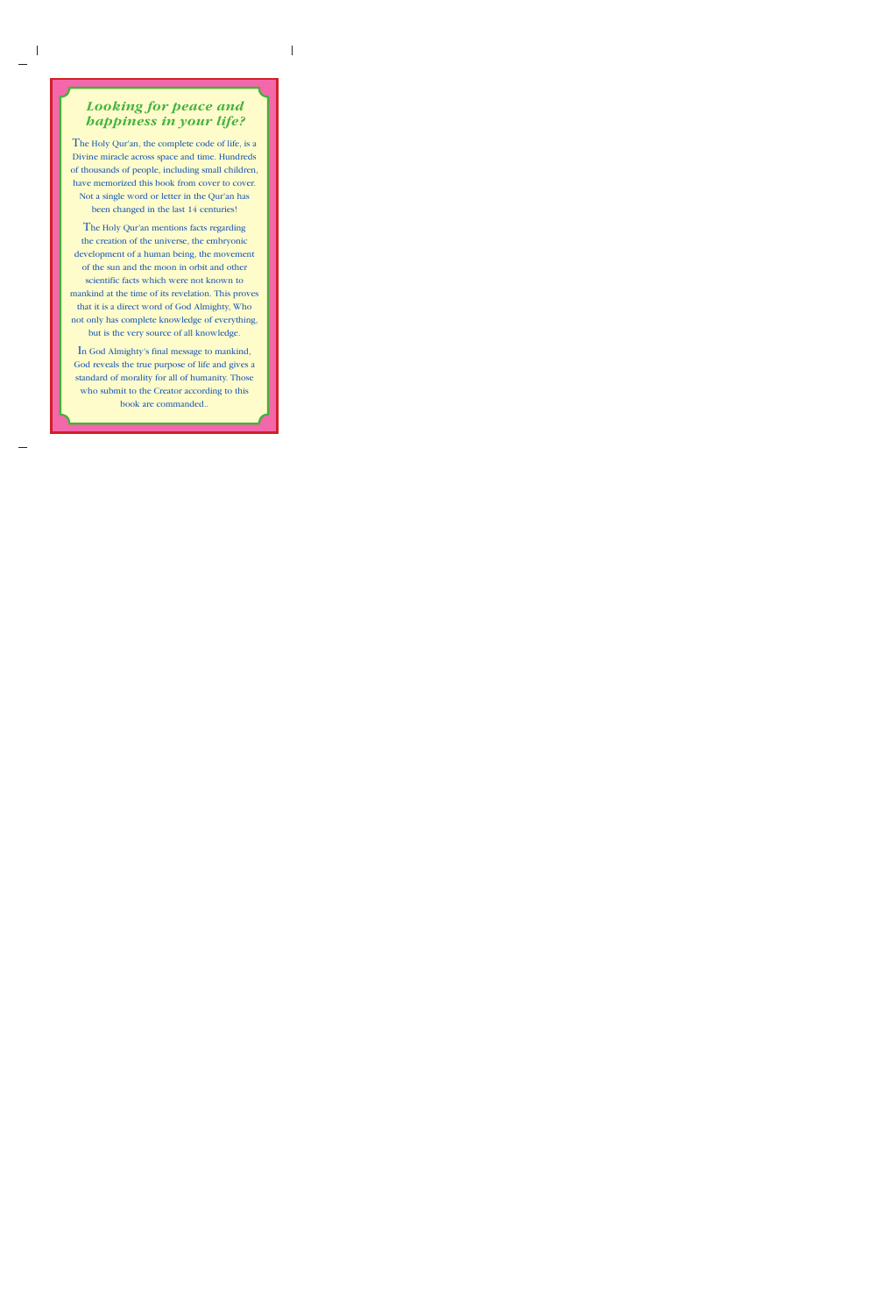## *Looking for peace and happiness in your life?*

The Holy Qur'an, the complete code of life, is a Divine miracle across space and time. Hundreds of thousands of people, including small children, have memorized this book from cover to cover. Not a single word or letter in the Qur'an has been changed in the last 14 centuries!

The Holy Qur'an mentions facts regarding the creation of the universe, the embryonic development of a human being, the movement of the sun and the moon in orbit and other scientific facts which were not known to mankind at the time of its revelation. This proves that it is a direct word of God Almighty, Who not only has complete knowledge of everything,

but is the very source of all knowledge.

In God Almighty's final message to mankind, God reveals the true purpose of life and gives a standard of morality for all of humanity. Those who submit to the Creator according to this book are commanded..